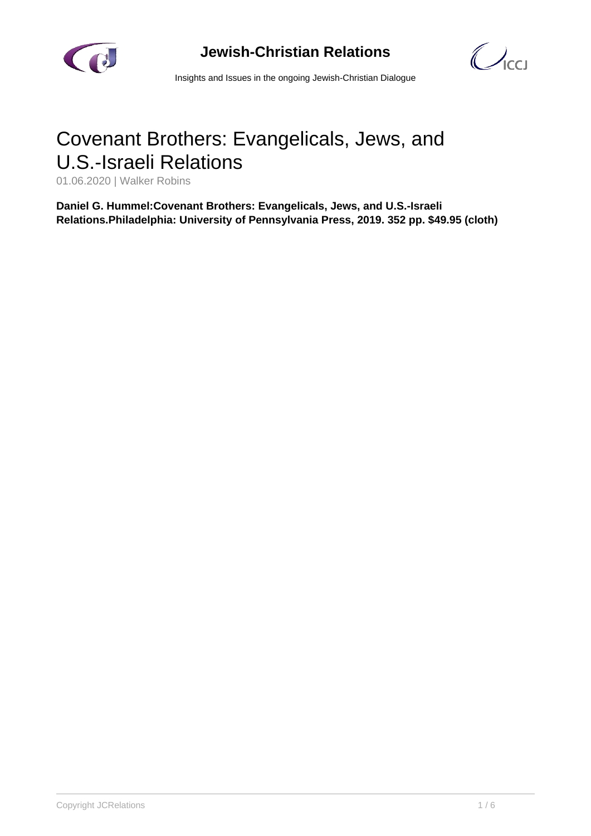

## **Jewish-Christian Relations**



Insights and Issues in the ongoing Jewish-Christian Dialogue

## Covenant Brothers: Evangelicals, Jews, and U.S.-Israeli Relations

01.06.2020 | Walker Robins

**Daniel G. Hummel:Covenant Brothers: Evangelicals, Jews, and U.S.-Israeli Relations.Philadelphia: University of Pennsylvania Press, 2019. 352 pp. \$49.95 (cloth)**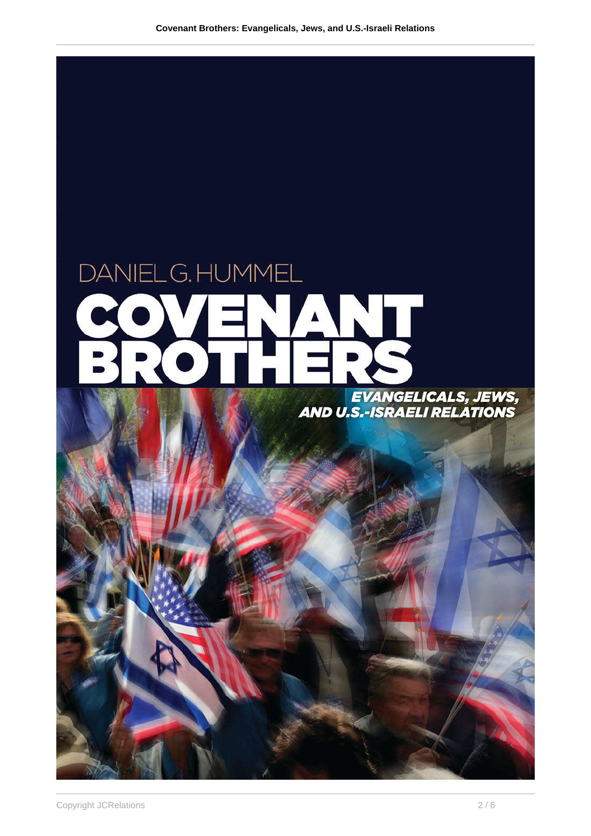

## EVANGELICALS, JEWS,<br>AND U.S.-ISRAELI RELATIONS

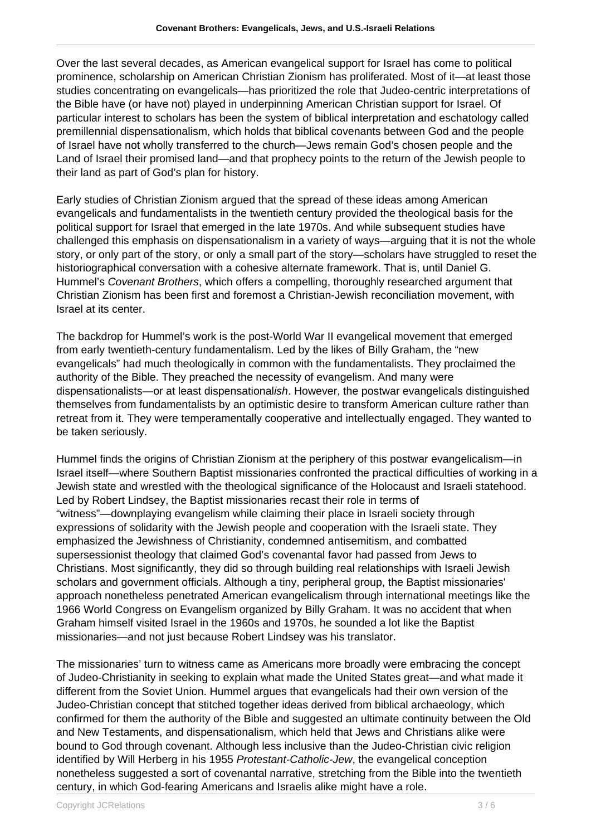Over the last several decades, as American evangelical support for Israel has come to political prominence, scholarship on American Christian Zionism has proliferated. Most of it—at least those studies concentrating on evangelicals—has prioritized the role that Judeo-centric interpretations of the Bible have (or have not) played in underpinning American Christian support for Israel. Of particular interest to scholars has been the system of biblical interpretation and eschatology called premillennial dispensationalism, which holds that biblical covenants between God and the people of Israel have not wholly transferred to the church—Jews remain God's chosen people and the Land of Israel their promised land—and that prophecy points to the return of the Jewish people to their land as part of God's plan for history.

Early studies of Christian Zionism argued that the spread of these ideas among American evangelicals and fundamentalists in the twentieth century provided the theological basis for the political support for Israel that emerged in the late 1970s. And while subsequent studies have challenged this emphasis on dispensationalism in a variety of ways—arguing that it is not the whole story, or only part of the story, or only a small part of the story—scholars have struggled to reset the historiographical conversation with a cohesive alternate framework. That is, until Daniel G. Hummel's Covenant Brothers, which offers a compelling, thoroughly researched argument that Christian Zionism has been first and foremost a Christian-Jewish reconciliation movement, with Israel at its center.

The backdrop for Hummel's work is the post-World War II evangelical movement that emerged from early twentieth-century fundamentalism. Led by the likes of Billy Graham, the "new evangelicals" had much theologically in common with the fundamentalists. They proclaimed the authority of the Bible. They preached the necessity of evangelism. And many were dispensationalists—or at least dispensationalish. However, the postwar evangelicals distinguished themselves from fundamentalists by an optimistic desire to transform American culture rather than retreat from it. They were temperamentally cooperative and intellectually engaged. They wanted to be taken seriously.

Hummel finds the origins of Christian Zionism at the periphery of this postwar evangelicalism—in Israel itself—where Southern Baptist missionaries confronted the practical difficulties of working in a Jewish state and wrestled with the theological significance of the Holocaust and Israeli statehood. Led by Robert Lindsey, the Baptist missionaries recast their role in terms of "witness"—downplaying evangelism while claiming their place in Israeli society through expressions of solidarity with the Jewish people and cooperation with the Israeli state. They emphasized the Jewishness of Christianity, condemned antisemitism, and combatted supersessionist theology that claimed God's covenantal favor had passed from Jews to Christians. Most significantly, they did so through building real relationships with Israeli Jewish scholars and government officials. Although a tiny, peripheral group, the Baptist missionaries' approach nonetheless penetrated American evangelicalism through international meetings like the 1966 World Congress on Evangelism organized by Billy Graham. It was no accident that when Graham himself visited Israel in the 1960s and 1970s, he sounded a lot like the Baptist missionaries—and not just because Robert Lindsey was his translator.

The missionaries' turn to witness came as Americans more broadly were embracing the concept of Judeo-Christianity in seeking to explain what made the United States great—and what made it different from the Soviet Union. Hummel argues that evangelicals had their own version of the Judeo-Christian concept that stitched together ideas derived from biblical archaeology, which confirmed for them the authority of the Bible and suggested an ultimate continuity between the Old and New Testaments, and dispensationalism, which held that Jews and Christians alike were bound to God through covenant. Although less inclusive than the Judeo-Christian civic religion identified by Will Herberg in his 1955 Protestant-Catholic-Jew, the evangelical conception nonetheless suggested a sort of covenantal narrative, stretching from the Bible into the twentieth century, in which God-fearing Americans and Israelis alike might have a role.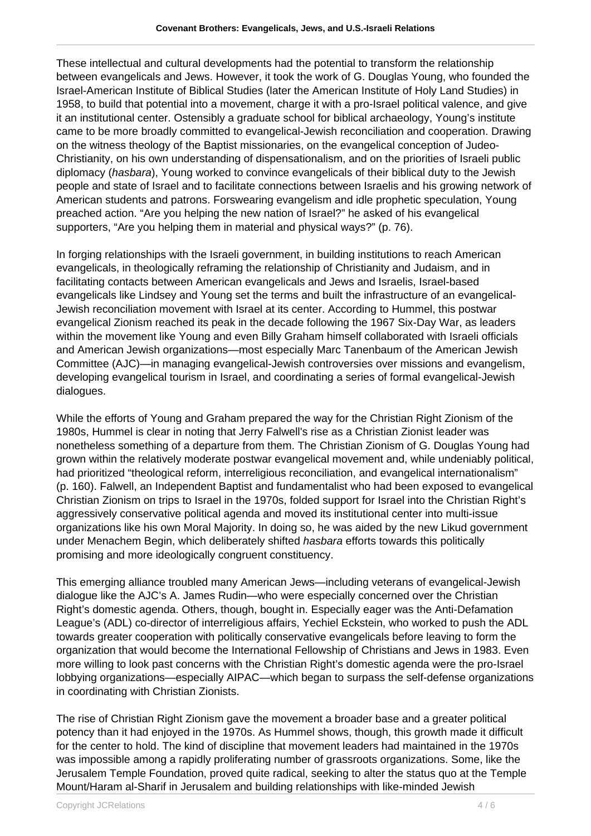These intellectual and cultural developments had the potential to transform the relationship between evangelicals and Jews. However, it took the work of G. Douglas Young, who founded the Israel-American Institute of Biblical Studies (later the American Institute of Holy Land Studies) in 1958, to build that potential into a movement, charge it with a pro-Israel political valence, and give it an institutional center. Ostensibly a graduate school for biblical archaeology, Young's institute came to be more broadly committed to evangelical-Jewish reconciliation and cooperation. Drawing on the witness theology of the Baptist missionaries, on the evangelical conception of Judeo-Christianity, on his own understanding of dispensationalism, and on the priorities of Israeli public diplomacy (hasbara), Young worked to convince evangelicals of their biblical duty to the Jewish people and state of Israel and to facilitate connections between Israelis and his growing network of American students and patrons. Forswearing evangelism and idle prophetic speculation, Young preached action. "Are you helping the new nation of Israel?" he asked of his evangelical supporters, "Are you helping them in material and physical ways?" (p. 76).

In forging relationships with the Israeli government, in building institutions to reach American evangelicals, in theologically reframing the relationship of Christianity and Judaism, and in facilitating contacts between American evangelicals and Jews and Israelis, Israel-based evangelicals like Lindsey and Young set the terms and built the infrastructure of an evangelical-Jewish reconciliation movement with Israel at its center. According to Hummel, this postwar evangelical Zionism reached its peak in the decade following the 1967 Six-Day War, as leaders within the movement like Young and even Billy Graham himself collaborated with Israeli officials and American Jewish organizations—most especially Marc Tanenbaum of the American Jewish Committee (AJC)—in managing evangelical-Jewish controversies over missions and evangelism, developing evangelical tourism in Israel, and coordinating a series of formal evangelical-Jewish dialogues.

While the efforts of Young and Graham prepared the way for the Christian Right Zionism of the 1980s, Hummel is clear in noting that Jerry Falwell's rise as a Christian Zionist leader was nonetheless something of a departure from them. The Christian Zionism of G. Douglas Young had grown within the relatively moderate postwar evangelical movement and, while undeniably political, had prioritized "theological reform, interreligious reconciliation, and evangelical internationalism" (p. 160). Falwell, an Independent Baptist and fundamentalist who had been exposed to evangelical Christian Zionism on trips to Israel in the 1970s, folded support for Israel into the Christian Right's aggressively conservative political agenda and moved its institutional center into multi-issue organizations like his own Moral Majority. In doing so, he was aided by the new Likud government under Menachem Begin, which deliberately shifted hasbara efforts towards this politically promising and more ideologically congruent constituency.

This emerging alliance troubled many American Jews—including veterans of evangelical-Jewish dialogue like the AJC's A. James Rudin—who were especially concerned over the Christian Right's domestic agenda. Others, though, bought in. Especially eager was the Anti-Defamation League's (ADL) co-director of interreligious affairs, Yechiel Eckstein, who worked to push the ADL towards greater cooperation with politically conservative evangelicals before leaving to form the organization that would become the International Fellowship of Christians and Jews in 1983. Even more willing to look past concerns with the Christian Right's domestic agenda were the pro-Israel lobbying organizations—especially AIPAC—which began to surpass the self-defense organizations in coordinating with Christian Zionists.

The rise of Christian Right Zionism gave the movement a broader base and a greater political potency than it had enjoyed in the 1970s. As Hummel shows, though, this growth made it difficult for the center to hold. The kind of discipline that movement leaders had maintained in the 1970s was impossible among a rapidly proliferating number of grassroots organizations. Some, like the Jerusalem Temple Foundation, proved quite radical, seeking to alter the status quo at the Temple Mount/Haram al-Sharif in Jerusalem and building relationships with like-minded Jewish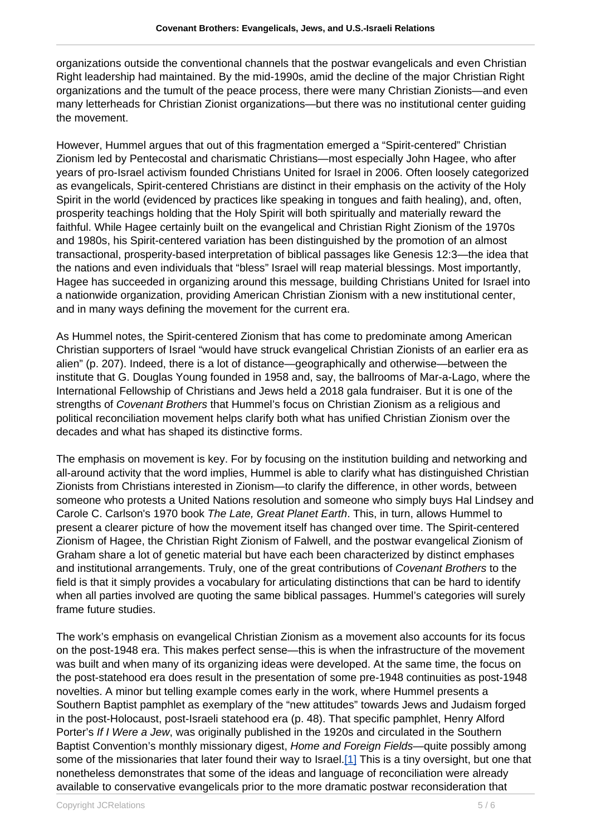organizations outside the conventional channels that the postwar evangelicals and even Christian Right leadership had maintained. By the mid-1990s, amid the decline of the major Christian Right organizations and the tumult of the peace process, there were many Christian Zionists—and even many letterheads for Christian Zionist organizations—but there was no institutional center guiding the movement.

However, Hummel argues that out of this fragmentation emerged a "Spirit-centered" Christian Zionism led by Pentecostal and charismatic Christians—most especially John Hagee, who after years of pro-Israel activism founded Christians United for Israel in 2006. Often loosely categorized as evangelicals, Spirit-centered Christians are distinct in their emphasis on the activity of the Holy Spirit in the world (evidenced by practices like speaking in tongues and faith healing), and, often, prosperity teachings holding that the Holy Spirit will both spiritually and materially reward the faithful. While Hagee certainly built on the evangelical and Christian Right Zionism of the 1970s and 1980s, his Spirit-centered variation has been distinguished by the promotion of an almost transactional, prosperity-based interpretation of biblical passages like Genesis 12:3—the idea that the nations and even individuals that "bless" Israel will reap material blessings. Most importantly, Hagee has succeeded in organizing around this message, building Christians United for Israel into a nationwide organization, providing American Christian Zionism with a new institutional center, and in many ways defining the movement for the current era.

As Hummel notes, the Spirit-centered Zionism that has come to predominate among American Christian supporters of Israel "would have struck evangelical Christian Zionists of an earlier era as alien" (p. 207). Indeed, there is a lot of distance—geographically and otherwise—between the institute that G. Douglas Young founded in 1958 and, say, the ballrooms of Mar-a-Lago, where the International Fellowship of Christians and Jews held a 2018 gala fundraiser. But it is one of the strengths of Covenant Brothers that Hummel's focus on Christian Zionism as a religious and political reconciliation movement helps clarify both what has unified Christian Zionism over the decades and what has shaped its distinctive forms.

The emphasis on movement is key. For by focusing on the institution building and networking and all-around activity that the word implies, Hummel is able to clarify what has distinguished Christian Zionists from Christians interested in Zionism—to clarify the difference, in other words, between someone who protests a United Nations resolution and someone who simply buys Hal Lindsey and Carole C. Carlson's 1970 book The Late, Great Planet Earth. This, in turn, allows Hummel to present a clearer picture of how the movement itself has changed over time. The Spirit-centered Zionism of Hagee, the Christian Right Zionism of Falwell, and the postwar evangelical Zionism of Graham share a lot of genetic material but have each been characterized by distinct emphases and institutional arrangements. Truly, one of the great contributions of Covenant Brothers to the field is that it simply provides a vocabulary for articulating distinctions that can be hard to identify when all parties involved are quoting the same biblical passages. Hummel's categories will surely frame future studies.

The work's emphasis on evangelical Christian Zionism as a movement also accounts for its focus on the post-1948 era. This makes perfect sense—this is when the infrastructure of the movement was built and when many of its organizing ideas were developed. At the same time, the focus on the post-statehood era does result in the presentation of some pre-1948 continuities as post-1948 novelties. A minor but telling example comes early in the work, where Hummel presents a Southern Baptist pamphlet as exemplary of the "new attitudes" towards Jews and Judaism forged in the post-Holocaust, post-Israeli statehood era (p. 48). That specific pamphlet, Henry Alford Porter's If I Were a Jew, was originally published in the 1920s and circulated in the Southern Baptist Convention's monthly missionary digest, Home and Foreign Fields—quite possibly among some of the missionaries that later found their way to Israel[.\[1\]](https://dev.iccj.org/#fn_1) This is a tiny oversight, but one that nonetheless demonstrates that some of the ideas and language of reconciliation were already available to conservative evangelicals prior to the more dramatic postwar reconsideration that